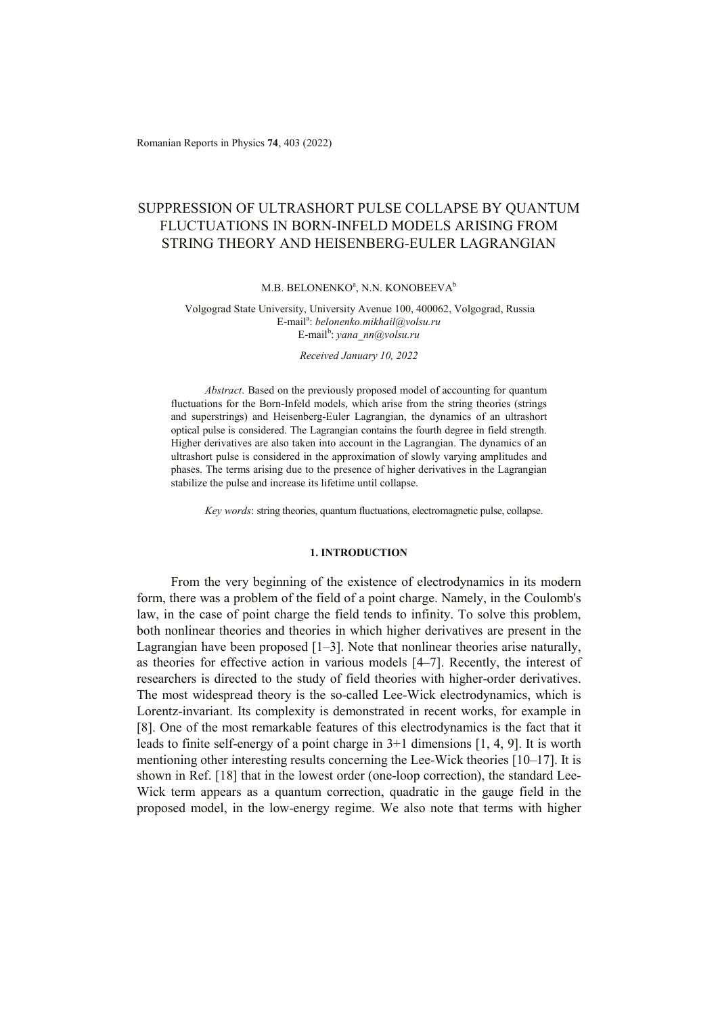Romanian Reports in Physics **74**, 403 (2022)

# SUPPRESSION OF ULTRASHORT PULSE COLLAPSE BY QUANTUM FLUCTUATIONS IN BORN-INFELD MODELS ARISING FROM STRING THEORY AND HEISENBERG-EULER LAGRANGIAN

### M.B. BELONENKO<sup>a</sup>, N.N. KONOBEEVA<sup>b</sup>

## Volgograd State University, University Avenue 100, 400062, Volgograd, Russia E-mail<sup>a</sup> : *belonenko.mikhail@volsu.ru*  E-mail<sup>b</sup>: yana\_nn@volsu.ru

*Received January 10, 2022* 

*Abstract*. Based on the previously proposed model of accounting for quantum fluctuations for the Born-Infeld models, which arise from the string theories (strings and superstrings) and Heisenberg-Euler Lagrangian, the dynamics of an ultrashort optical pulse is considered. The Lagrangian contains the fourth degree in field strength. Higher derivatives are also taken into account in the Lagrangian. The dynamics of an ultrashort pulse is considered in the approximation of slowly varying amplitudes and phases. The terms arising due to the presence of higher derivatives in the Lagrangian stabilize the pulse and increase its lifetime until collapse.

*Key words*: string theories, quantum fluctuations, electromagnetic pulse, collapse.

# **1. INTRODUCTION**

From the very beginning of the existence of electrodynamics in its modern form, there was a problem of the field of a point charge. Namely, in the Coulomb's law, in the case of point charge the field tends to infinity. To solve this problem, both nonlinear theories and theories in which higher derivatives are present in the Lagrangian have been proposed [1–3]. Note that nonlinear theories arise naturally, as theories for effective action in various models [4–7]. Recently, the interest of researchers is directed to the study of field theories with higher-order derivatives. The most widespread theory is the so-called Lee-Wick electrodynamics, which is Lorentz-invariant. Its complexity is demonstrated in recent works, for example in [8]. One of the most remarkable features of this electrodynamics is the fact that it leads to finite self-energy of a point charge in 3+1 dimensions [1, 4, 9]. It is worth mentioning other interesting results concerning the Lee-Wick theories [10–17]. It is shown in Ref. [18] that in the lowest order (one-loop correction), the standard Lee-Wick term appears as a quantum correction, quadratic in the gauge field in the proposed model, in the low-energy regime. We also note that terms with higher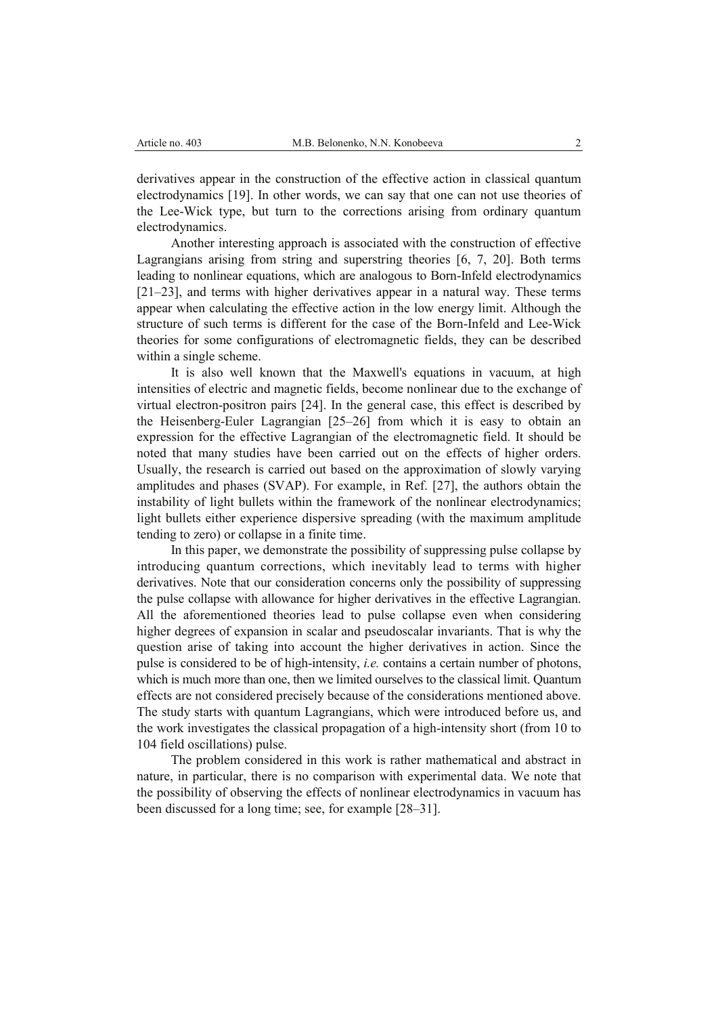derivatives appear in the construction of the effective action in classical quantum electrodynamics [19]. In other words, we can say that one can not use theories of the Lee-Wick type, but turn to the corrections arising from ordinary quantum electrodynamics.

Another interesting approach is associated with the construction of effective Lagrangians arising from string and superstring theories [6, 7, 20]. Both terms leading to nonlinear equations, which are analogous to Born-Infeld electrodynamics [21–23], and terms with higher derivatives appear in a natural way. These terms appear when calculating the effective action in the low energy limit. Although the structure of such terms is different for the case of the Born-Infeld and Lee-Wick theories for some configurations of electromagnetic fields, they can be described within a single scheme.

It is also well known that the Maxwell's equations in vacuum, at high intensities of electric and magnetic fields, become nonlinear due to the exchange of virtual electron-positron pairs [24]. In the general case, this effect is described by the Heisenberg-Euler Lagrangian [25–26] from which it is easy to obtain an expression for the effective Lagrangian of the electromagnetic field. It should be noted that many studies have been carried out on the effects of higher orders. Usually, the research is carried out based on the approximation of slowly varying amplitudes and phases (SVAP). For example, in Ref. [27], the authors obtain the instability of light bullets within the framework of the nonlinear electrodynamics; light bullets either experience dispersive spreading (with the maximum amplitude tending to zero) or collapse in a finite time.

In this paper, we demonstrate the possibility of suppressing pulse collapse by introducing quantum corrections, which inevitably lead to terms with higher derivatives. Note that our consideration concerns only the possibility of suppressing the pulse collapse with allowance for higher derivatives in the effective Lagrangian. All the aforementioned theories lead to pulse collapse even when considering higher degrees of expansion in scalar and pseudoscalar invariants. That is why the question arise of taking into account the higher derivatives in action. Since the pulse is considered to be of high-intensity, *i.e.* contains a certain number of photons, which is much more than one, then we limited ourselves to the classical limit. Quantum effects are not considered precisely because of the considerations mentioned above. The study starts with quantum Lagrangians, which were introduced before us, and the work investigates the classical propagation of a high-intensity short (from 10 to 104 field oscillations) pulse.

The problem considered in this work is rather mathematical and abstract in nature, in particular, there is no comparison with experimental data. We note that the possibility of observing the effects of nonlinear electrodynamics in vacuum has been discussed for a long time; see, for example [28–31].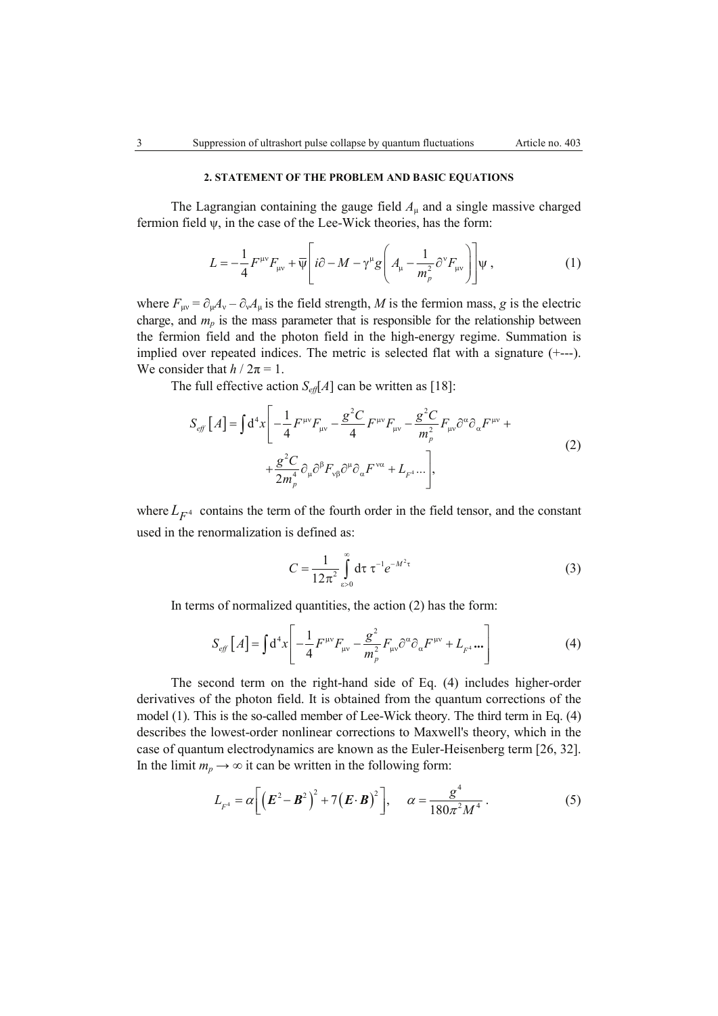# **2. STATEMENT OF THE PROBLEM AND BASIC EQUATIONS**

The Lagrangian containing the gauge field  $A<sub>u</sub>$  and a single massive charged fermion field ψ, in the case of the Lee-Wick theories, has the form:

$$
L = -\frac{1}{4}F^{\mu\nu}F_{\mu\nu} + \overline{\Psi}\left[i\partial - M - \gamma^{\mu}g\left(A_{\mu} - \frac{1}{m_{p}^{2}}\partial^{\nu}F_{\mu\nu}\right)\right]\Psi,
$$
 (1)

where  $F_{\mu\nu} = \partial_{\mu}A_{\nu} - \partial_{\nu}A_{\mu}$  is the field strength, *M* is the fermion mass, *g* is the electric charge, and  $m_p$  is the mass parameter that is responsible for the relationship between the fermion field and the photon field in the high-energy regime. Summation is implied over repeated indices. The metric is selected flat with a signature (+---). We consider that  $h / 2\pi = 1$ .

The full effective action  $S_{\text{eff}}[A]$  can be written as [18]:

$$
S_{eff}[A] = \int d^4x \left[ -\frac{1}{4} F^{\mu\nu} F_{\mu\nu} - \frac{g^2 C}{4} F^{\mu\nu} F_{\mu\nu} - \frac{g^2 C}{m_\rho^2} F_{\mu\nu} \partial^\alpha \partial_\alpha F^{\mu\nu} + \frac{g^2 C}{2m_\rho^4} \partial_\mu \partial^\beta F_{\nu\beta} \partial^\mu \partial_\alpha F^{\nu\alpha} + L_{F^4} \dots \right],
$$
\n(2)

where  $L_{F^4}$  contains the term of the fourth order in the field tensor, and the constant used in the renormalization is defined as:

$$
C = \frac{1}{12\pi^2} \int_{\epsilon > 0}^{\infty} d\tau \ \tau^{-1} e^{-M^2 \tau}
$$
 (3)

In terms of normalized quantities, the action (2) has the form:

$$
S_{eff}[A] = \int d^4x \left[ -\frac{1}{4} F^{\mu\nu} F_{\mu\nu} - \frac{g^2}{m_p^2} F_{\mu\nu} \partial^{\alpha} \partial_{\alpha} F^{\mu\nu} + L_{F^4} \cdots \right]
$$
(4)

The second term on the right-hand side of Eq. (4) includes higher-order derivatives of the photon field. It is obtained from the quantum corrections of the model (1). This is the so-called member of Lee-Wick theory. The third term in Eq. (4) describes the lowest-order nonlinear corrections to Maxwell's theory, which in the case of quantum electrodynamics are known as the Euler-Heisenberg term [26, 32]. In the limit  $m_p \to \infty$  it can be written in the following form:

$$
L_{F^4} = \alpha \left[ \left( \boldsymbol{E}^2 - \boldsymbol{B}^2 \right)^2 + 7 \left( \boldsymbol{E} \cdot \boldsymbol{B} \right)^2 \right], \quad \alpha = \frac{g^4}{180 \pi^2 M^4} \,. \tag{5}
$$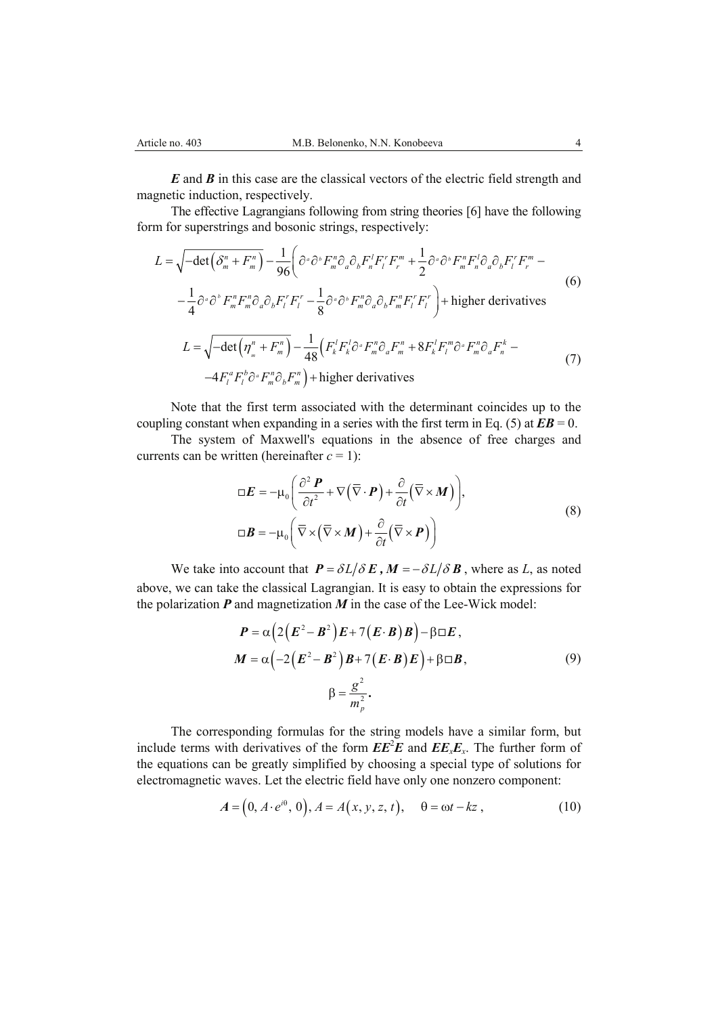*E* and *B* in this case are the classical vectors of the electric field strength and magnetic induction, respectively.

The effective Lagrangians following from string theories [6] have the following form for superstrings and bosonic strings, respectively:

$$
L = \sqrt{-\det(\delta_m^n + F_m^n)} - \frac{1}{96} \left( \partial^{\alpha} \partial^{\beta} F_m^n \partial_{\alpha} \partial_{\delta} F_n^{\dagger} F_l^{\dagger} F_r^m + \frac{1}{2} \partial^{\alpha} \partial^{\beta} F_m^n F_n^{\dagger} \partial_{\alpha} \partial_{\delta} F_l^{\dagger} F_r^m - \frac{1}{4} \partial^{\alpha} \partial^{\delta} F_m^n F_m^n \partial_{\alpha} \partial_{\delta} F_l^{\dagger} F_l^{\dagger} - \frac{1}{8} \partial^{\alpha} \partial^{\delta} F_m^n \partial_{\alpha} \partial_{\delta} F_m^n F_l^{\dagger} F_l^{\dagger} \right) + \text{higher derivatives}
$$
\n
$$
L = \sqrt{-\det(\eta_m^n + F_m^n)} - \frac{1}{48} \left( F_k^{\dagger} F_k^{\dagger} \partial^{\alpha} F_m^n \partial_{\alpha} F_m^n + 8 F_k^{\dagger} F_l^m \partial^{\alpha} F_m^n \partial_{\alpha} F_n^k - \frac{4 F_l^n F_l^n \partial^{\alpha} F_m^n \partial_{\delta} F_m^n}{4 F_l^n \partial^{\alpha} F_m^n \partial_{\delta} F_m^n} \right) + \text{higher derivatives}
$$
\n(7)

Note that the first term associated with the determinant coincides up to the coupling constant when expanding in a series with the first term in Eq. (5) at  $\mathbf{E}\mathbf{B} = 0$ .

The system of Maxwell's equations in the absence of free charges and currents can be written (hereinafter  $c = 1$ ):

$$
\Box \boldsymbol{E} = -\mu_0 \left( \frac{\partial^2 \boldsymbol{P}}{\partial t^2} + \nabla (\overline{\nabla} \cdot \boldsymbol{P}) + \frac{\partial}{\partial t} (\overline{\nabla} \times \boldsymbol{M}) \right),
$$
  

$$
\Box \boldsymbol{B} = -\mu_0 \left( \overline{\nabla} \times (\overline{\nabla} \times \boldsymbol{M}) + \frac{\partial}{\partial t} (\overline{\nabla} \times \boldsymbol{P}) \right)
$$
(8)

We take into account that  $P = \frac{\partial L}{\partial E}$ ,  $M = -\frac{\partial L}{\partial B}$ , where as *L*, as noted above, we can take the classical Lagrangian. It is easy to obtain the expressions for the polarization  $P$  and magnetization  $M$  in the case of the Lee-Wick model:

$$
P = \alpha \left( 2(E^2 - B^2) E + 7(E \cdot B) B \right) - \beta \Box E,
$$
  
\n
$$
M = \alpha \left( -2(E^2 - B^2) B + 7(E \cdot B) E \right) + \beta \Box B,
$$
  
\n
$$
\beta = \frac{g^2}{m_p^2}.
$$
\n(9)

The corresponding formulas for the string models have a similar form, but include terms with derivatives of the form  $EE^2E$  and  $EE_xE_x$ . The further form of the equations can be greatly simplified by choosing a special type of solutions for electromagnetic waves. Let the electric field have only one nonzero component:

$$
A = (0, A \cdot e^{i\theta}, 0), A = A(x, y, z, t), \quad \theta = \omega t - kz,
$$
 (10)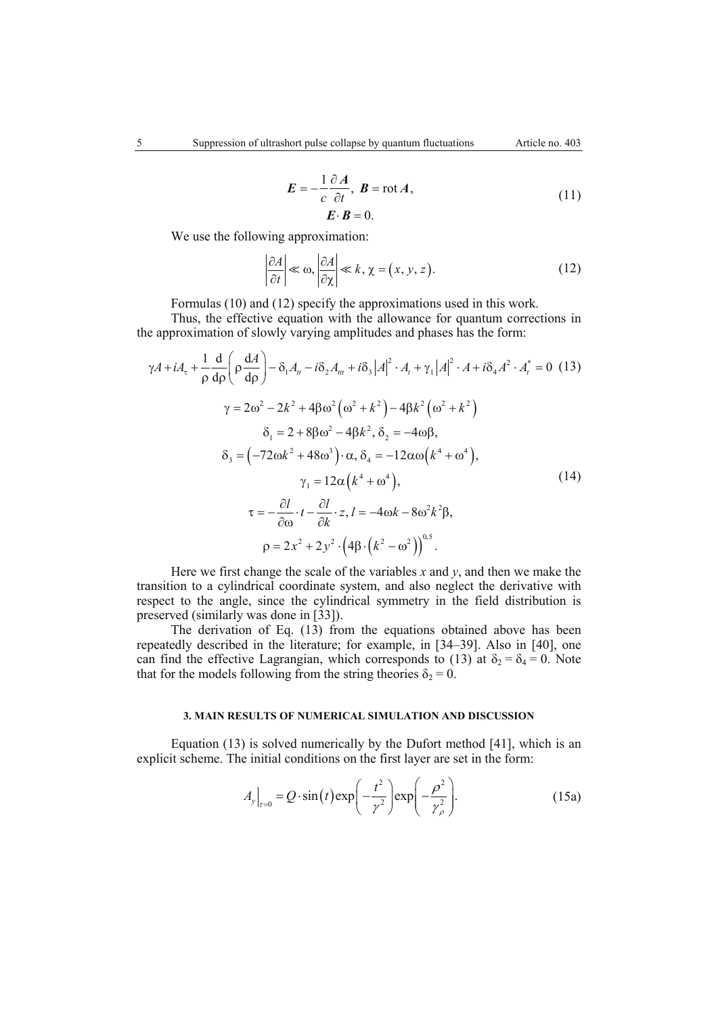$$
E = -\frac{1}{c} \frac{\partial A}{\partial t}, \quad B = \text{rot} A,
$$
  
\n
$$
E \cdot B = 0.
$$
 (11)

We use the following approximation:

$$
\left|\frac{\partial A}{\partial t}\right| \ll \omega, \left|\frac{\partial A}{\partial \chi}\right| \ll k, \chi = (x, y, z). \tag{12}
$$

Formulas (10) and (12) specify the approximations used in this work.

 $\sim 10^{-1}$ 

Thus, the effective equation with the allowance for quantum corrections in the approximation of slowly varying amplitudes and phases has the form:

$$
\gamma A + iA_{\tau} + \frac{1}{\rho} \frac{d}{d\rho} \left( \rho \frac{dA}{d\rho} \right) - \delta_1 A_{tt} - i\delta_2 A_{tt} + i\delta_3 |A|^2 \cdot A_t + \gamma_1 |A|^2 \cdot A + i\delta_4 A^2 \cdot A_t^* = 0 \quad (13)
$$
  

$$
\gamma = 2\omega^2 - 2k^2 + 4\beta\omega^2 \left(\omega^2 + k^2\right) - 4\beta k^2 \left(\omega^2 + k^2\right)
$$
  

$$
\delta_1 = 2 + 8\beta\omega^2 - 4\beta k^2, \delta_2 = -4\omega\beta,
$$
  

$$
\delta_3 = \left(-72\omega k^2 + 48\omega^3\right) \cdot \alpha, \delta_4 = -12\alpha\omega \left(k^4 + \omega^4\right),
$$
  

$$
\gamma_1 = 12\alpha \left(k^4 + \omega^4\right),
$$
  

$$
\tau = -\frac{\partial l}{\partial \omega} \cdot t - \frac{\partial l}{\partial k} \cdot z, l = -4\omega k - 8\omega^2 k^2 \beta,
$$
  

$$
\rho = 2x^2 + 2y^2 \cdot \left(4\beta \cdot \left(k^2 - \omega^2\right)\right)^{0.5}.
$$

Here we first change the scale of the variables  $x$  and  $y$ , and then we make the transition to a cylindrical coordinate system, and also neglect the derivative with respect to the angle, since the cylindrical symmetry in the field distribution is preserved (similarly was done in [33]).

The derivation of Eq. (13) from the equations obtained above has been repeatedly described in the literature; for example, in [34–39]. Also in [40], one can find the effective Lagrangian, which corresponds to (13) at  $\delta_2 = \delta_4 = 0$ . Note that for the models following from the string theories  $\delta_2 = 0$ .

#### **3. MAIN RESULTS OF NUMERICAL SIMULATION AND DISCUSSION**

Equation (13) is solved numerically by the Dufort method [41], which is an explicit scheme. The initial conditions on the first layer are set in the form:

$$
A_{y}\Big|_{\tau=0} = Q \cdot \sin(t) \exp\left(-\frac{t^2}{\gamma^2}\right) \exp\left(-\frac{\rho^2}{\gamma_\rho^2}\right).
$$
 (15a)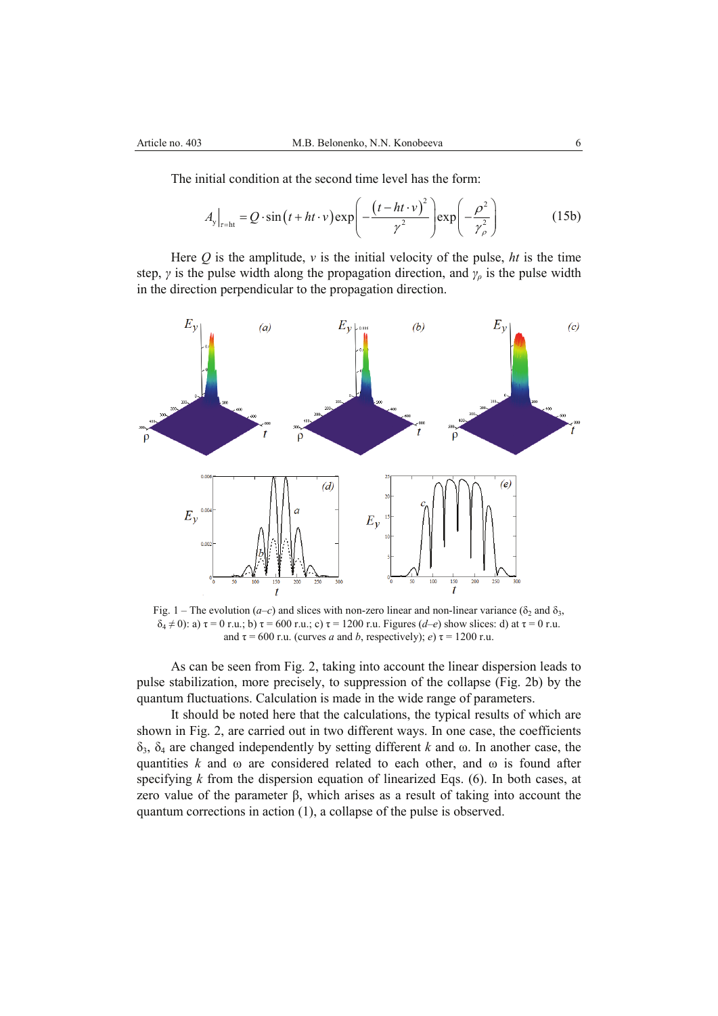The initial condition at the second time level has the form:

$$
A_{y}\Big|_{\tau=\text{ht}} = Q \cdot \sin\left(t + ht \cdot v\right) \exp\left(-\frac{\left(t - ht \cdot v\right)^2}{\gamma^2}\right) \exp\left(-\frac{\rho^2}{\gamma_\rho^2}\right) \tag{15b}
$$

Here  $Q$  is the amplitude,  $\nu$  is the initial velocity of the pulse,  $ht$  is the time step,  $\gamma$  is the pulse width along the propagation direction, and  $\gamma$ <sub>*ρ*</sub> is the pulse width in the direction perpendicular to the propagation direction.



Fig. 1 – The evolution (*a–c*) and slices with non-zero linear and non-linear variance ( $\delta_2$  and  $\delta_3$ , δ4 ≠ 0): a) τ = 0 r.u.; b) τ = 600 r.u.; c) τ = 1200 r.u. Figures (*d–e*) show slices: d) at τ = 0 r.u. and  $\tau = 600$  r.u. (curves *a* and *b*, respectively); *e*)  $\tau = 1200$  r.u.

As can be seen from Fig. 2, taking into account the linear dispersion leads to pulse stabilization, more precisely, to suppression of the collapse (Fig. 2b) by the quantum fluctuations. Calculation is made in the wide range of parameters.

It should be noted here that the calculations, the typical results of which are shown in Fig. 2, are carried out in two different ways. In one case, the coefficients δ3, δ4 are changed independently by setting different *k* and ω. In another case, the quantities  $k$  and  $\omega$  are considered related to each other, and  $\omega$  is found after specifying *k* from the dispersion equation of linearized Eqs. (6). In both cases, at zero value of the parameter β, which arises as a result of taking into account the quantum corrections in action (1), a collapse of the pulse is observed.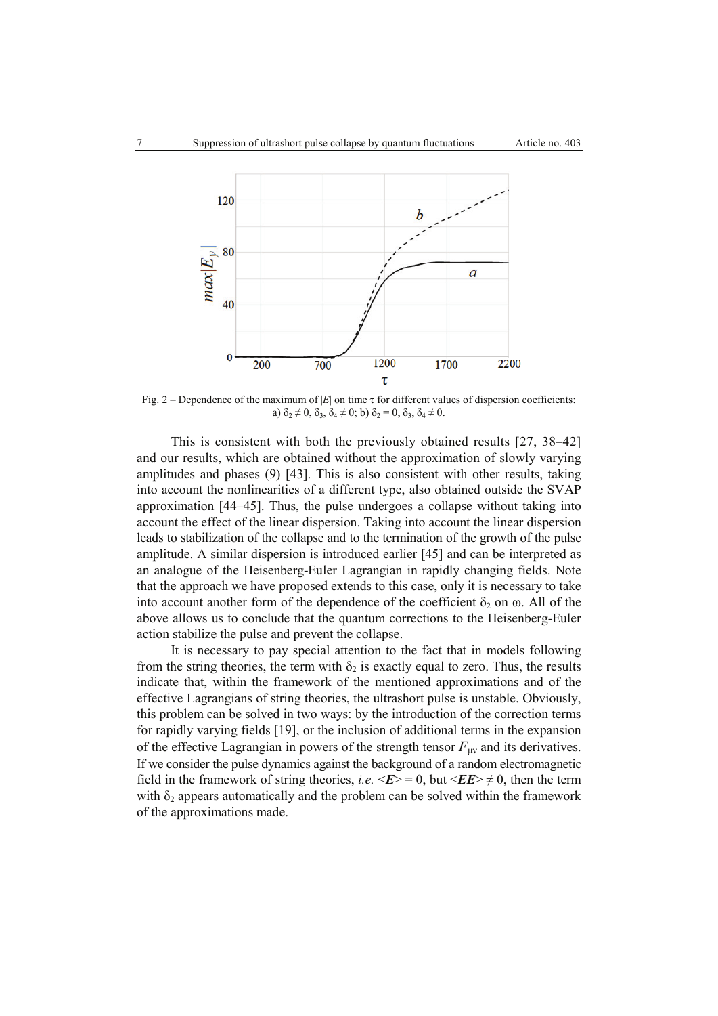

Fig. 2 – Dependence of the maximum of |*E*| on time τ for different values of dispersion coefficients: a)  $\delta_2 \neq 0$ ,  $\delta_3$ ,  $\delta_4 \neq 0$ ; b)  $\delta_2 = 0$ ,  $\delta_3$ ,  $\delta_4 \neq 0$ .

This is consistent with both the previously obtained results [27, 38–42] and our results, which are obtained without the approximation of slowly varying amplitudes and phases (9) [43]. This is also consistent with other results, taking into account the nonlinearities of a different type, also obtained outside the SVAP approximation [44–45]. Thus, the pulse undergoes a collapse without taking into account the effect of the linear dispersion. Taking into account the linear dispersion leads to stabilization of the collapse and to the termination of the growth of the pulse amplitude. A similar dispersion is introduced earlier [45] and can be interpreted as an analogue of the Heisenberg-Euler Lagrangian in rapidly changing fields. Note that the approach we have proposed extends to this case, only it is necessary to take into account another form of the dependence of the coefficient  $\delta_2$  on  $\omega$ . All of the above allows us to conclude that the quantum corrections to the Heisenberg-Euler action stabilize the pulse and prevent the collapse.

It is necessary to pay special attention to the fact that in models following from the string theories, the term with  $\delta_2$  is exactly equal to zero. Thus, the results indicate that, within the framework of the mentioned approximations and of the effective Lagrangians of string theories, the ultrashort pulse is unstable. Obviously, this problem can be solved in two ways: by the introduction of the correction terms for rapidly varying fields [19], or the inclusion of additional terms in the expansion of the effective Lagrangian in powers of the strength tensor  $F_{\mu\nu}$  and its derivatives. If we consider the pulse dynamics against the background of a random electromagnetic field in the framework of string theories, *i.e.*  $\langle E \rangle = 0$ , but  $\langle E \rangle \neq 0$ , then the term with  $\delta_2$  appears automatically and the problem can be solved within the framework of the approximations made.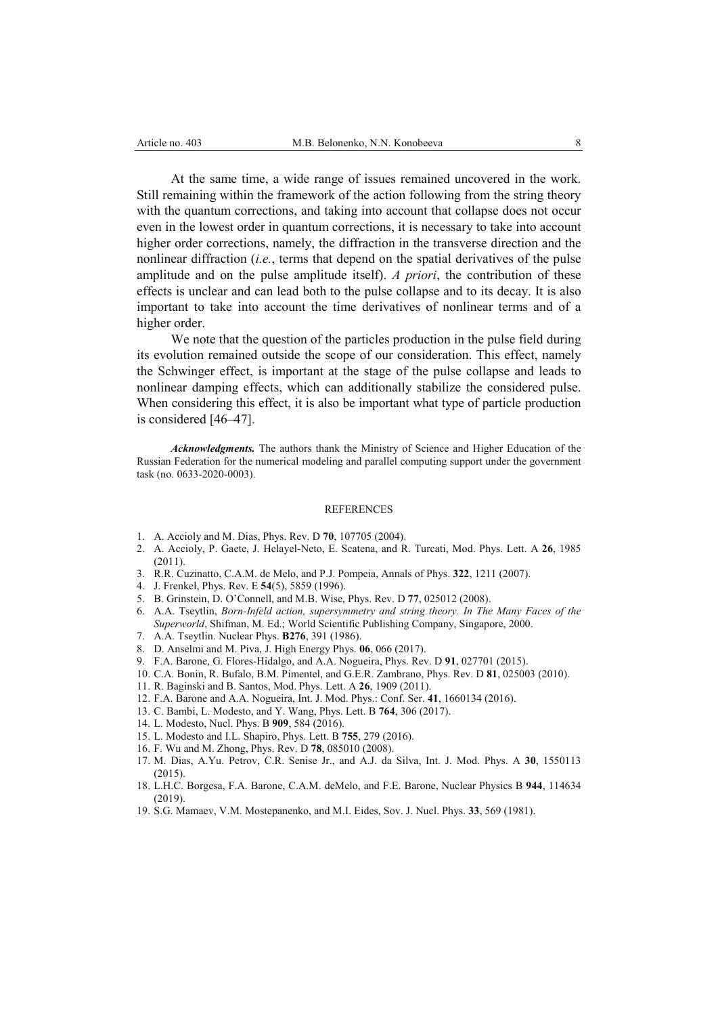At the same time, a wide range of issues remained uncovered in the work. Still remaining within the framework of the action following from the string theory with the quantum corrections, and taking into account that collapse does not occur even in the lowest order in quantum corrections, it is necessary to take into account higher order corrections, namely, the diffraction in the transverse direction and the nonlinear diffraction (*i.e.*, terms that depend on the spatial derivatives of the pulse amplitude and on the pulse amplitude itself). *A priori*, the contribution of these effects is unclear and can lead both to the pulse collapse and to its decay. It is also important to take into account the time derivatives of nonlinear terms and of a higher order.

We note that the question of the particles production in the pulse field during its evolution remained outside the scope of our consideration. This effect, namely the Schwinger effect, is important at the stage of the pulse collapse and leads to nonlinear damping effects, which can additionally stabilize the considered pulse. When considering this effect, it is also be important what type of particle production is considered [46–47].

*Acknowledgments.* The authors thank the Ministry of Science and Higher Education of the Russian Federation for the numerical modeling and parallel computing support under the government task (no. 0633-2020-0003).

#### **REFERENCES**

- 1. A. Accioly and M. Dias, Phys. Rev. D **70**, 107705 (2004).
- 2. A. Accioly, P. Gaete, J. Helayel-Neto, E. Scatena, and R. Turcati, Mod. Phys. Lett. A **26**, 1985 (2011).
- 3. R.R. Cuzinatto, C.A.M. de Melo, and P.J. Pompeia, Annals of Phys. **322**, 1211 (2007).
- 4. J. Frenkel, Phys. Rev. E **54**(5), 5859 (1996).
- 5. B. Grinstein, D. O'Connell, and M.B. Wise, Phys. Rev. D **77**, 025012 (2008).
- 6. A.A. Tseytlin, *Born-Infeld action, supersymmetry and string theory. In The Many Faces of the Superworld*, Shifman, M. Ed.; World Scientific Publishing Company, Singapore, 2000.
- 7. A.A. Tseytlin. Nuclear Phys. **B276**, 391 (1986).
- 8. D. Anselmi and M. Piva, J. High Energy Phys. **06**, 066 (2017).
- 9. F.A. Barone, G. Flores-Hidalgo, and A.A. Nogueira, Phys. Rev. D **91**, 027701 (2015).
- 10. C.A. Bonin, R. Bufalo, B.M. Pimentel, and G.E.R. Zambrano, Phys. Rev. D **81**, 025003 (2010).
- 11. R. Baginski and B. Santos, Mod. Phys. Lett. A **26**, 1909 (2011).
- 12. F.A. Barone and A.A. Nogueira, Int. J. Mod. Phys.: Conf. Ser. **41**, 1660134 (2016).
- 13. C. Bambi, L. Modesto, and Y. Wang, Phys. Lett. B **764**, 306 (2017).
- 14. L. Modesto, Nucl. Phys. B **909**, 584 (2016).
- 15. L. Modesto and I.L. Shapiro, Phys. Lett. B **755**, 279 (2016).
- 16. F. Wu and M. Zhong, Phys. Rev. D **78**, 085010 (2008).
- 17. M. Dias, A.Yu. Petrov, C.R. Senise Jr., and A.J. da Silva, Int. J. Mod. Phys. A **30**, 1550113 (2015).
- 18. L.H.C. Borgesa, F.A. Barone, C.A.M. deMelo, and F.E. Barone, Nuclear Physics B **944**, 114634 (2019).
- 19. S.G. Mamaev, V.M. Mostepanenko, and M.I. Eides, Sov. J. Nucl. Phys. **33**, 569 (1981).